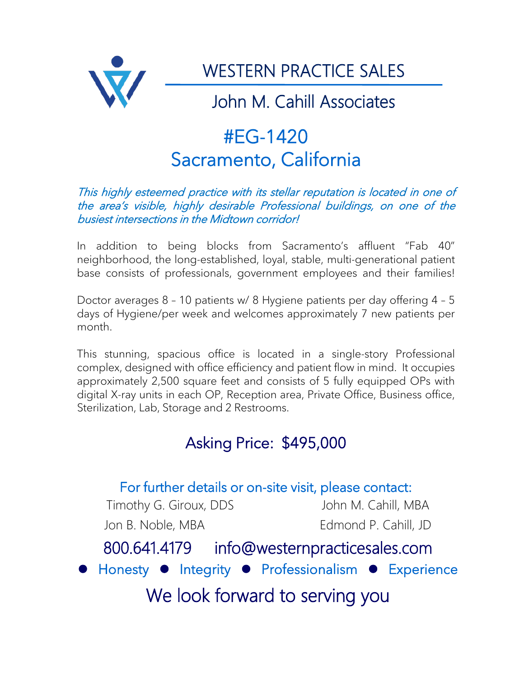

# #EG-1420 Sacramento, California

### This highly esteemed practice with its stellar reputation is located in one of the area's visible, highly desirable Professional buildings, on one of the busiest intersections in the Midtown corridor!

In addition to being blocks from Sacramento's affluent "Fab 40" neighborhood, the long-established, loyal, stable, multi-generational patient base consists of professionals, government employees and their families!

Doctor averages 8 – 10 patients w/ 8 Hygiene patients per day offering 4 – 5 days of Hygiene/per week and welcomes approximately 7 new patients per month.

This stunning, spacious office is located in a single-story Professional complex, designed with office efficiency and patient flow in mind. It occupies approximately 2,500 square feet and consists of 5 fully equipped OPs with digital X-ray units in each OP, Reception area, Private Office, Business office, Sterilization, Lab, Storage and 2 Restrooms.

## Asking Price: \$495,000

## For further details or on-site visit, please contact:

Timothy G. Giroux, DDS John M. Cahill, MBA Jon B. Noble, MBA Edmond P. Cahill, JD

## 800.641.4179 info@westernpracticesales.com

**Honesty Integrity • Professionalism • Experience** 

We look forward to serving you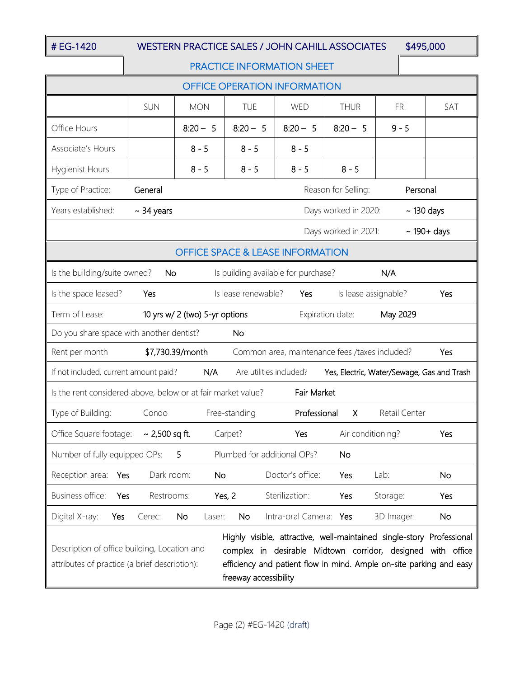### # EG-1420 WESTERN PRACTICE SALES / JOHN CAHILL ASSOCIATES \$495,000

#### PRACTICE INFORMATION SHEET

| <b>OFFICE OPERATION INFORMATION</b>                                                                                                                                                                                                                                                                                                   |                  |              |                             |                        |                      |               |           |
|---------------------------------------------------------------------------------------------------------------------------------------------------------------------------------------------------------------------------------------------------------------------------------------------------------------------------------------|------------------|--------------|-----------------------------|------------------------|----------------------|---------------|-----------|
|                                                                                                                                                                                                                                                                                                                                       | SUN              | <b>MON</b>   | <b>TUE</b>                  | WED                    | <b>THUR</b>          | <b>FRI</b>    | SAT       |
| Office Hours                                                                                                                                                                                                                                                                                                                          |                  | $8:20 - 5$   | $8:20 - 5$                  | $8:20 - 5$             | $8:20 - 5$           | $9 - 5$       |           |
| Associate's Hours                                                                                                                                                                                                                                                                                                                     |                  | $8 - 5$      | $8 - 5$                     | $8 - 5$                |                      |               |           |
| <b>Hygienist Hours</b>                                                                                                                                                                                                                                                                                                                |                  | $8 - 5$      | $8 - 5$                     | $8 - 5$                | $8 - 5$              |               |           |
| Type of Practice:<br>General<br>Reason for Selling:<br>Personal                                                                                                                                                                                                                                                                       |                  |              |                             |                        |                      |               |           |
| Years established:<br>Days worked in 2020:<br>$\sim$ 130 days<br>$\sim$ 34 years                                                                                                                                                                                                                                                      |                  |              |                             |                        |                      |               |           |
| Days worked in 2021:<br>$\sim$ 190+ days                                                                                                                                                                                                                                                                                              |                  |              |                             |                        |                      |               |           |
| <b>OFFICE SPACE &amp; LEASE INFORMATION</b>                                                                                                                                                                                                                                                                                           |                  |              |                             |                        |                      |               |           |
| N/A<br>Is the building/suite owned?<br>Is building available for purchase?<br>No                                                                                                                                                                                                                                                      |                  |              |                             |                        |                      |               |           |
| Is the space leased?                                                                                                                                                                                                                                                                                                                  | Yes              |              | Is lease renewable?         | Yes                    | Is lease assignable? |               | Yes       |
| Term of Lease:<br>May 2029<br>10 yrs w/ 2 (two) 5-yr options<br>Expiration date:                                                                                                                                                                                                                                                      |                  |              |                             |                        |                      |               |           |
| Do you share space with another dentist?<br><b>No</b>                                                                                                                                                                                                                                                                                 |                  |              |                             |                        |                      |               |           |
| Rent per month<br>\$7,730.39/month<br>Common area, maintenance fees /taxes included?<br>Yes                                                                                                                                                                                                                                           |                  |              |                             |                        |                      |               |           |
| If not included, current amount paid?<br>N/A<br>Are utilities included?<br>Yes, Electric, Water/Sewage, Gas and Trash                                                                                                                                                                                                                 |                  |              |                             |                        |                      |               |           |
| Is the rent considered above, below or at fair market value?<br>Fair Market                                                                                                                                                                                                                                                           |                  |              |                             |                        |                      |               |           |
| Type of Building:                                                                                                                                                                                                                                                                                                                     | Condo            |              | Free-standing               | Professional           | X                    | Retail Center |           |
| Office Square footage:                                                                                                                                                                                                                                                                                                                | ~ $2,500$ sq ft. |              | Carpet?                     | Yes                    | Air conditioning?    |               | Yes       |
| Number of fully equipped OPs:                                                                                                                                                                                                                                                                                                         |                  | 5            | Plumbed for additional OPs? |                        | <b>No</b>            |               |           |
| Reception area:<br>Yes                                                                                                                                                                                                                                                                                                                | Dark room:       | No           |                             | Doctor's office:       | Yes                  | Lab:          | <b>No</b> |
| Business office:<br>Yes                                                                                                                                                                                                                                                                                                               | Restrooms:       |              | Yes, 2                      | Sterilization:         | Yes                  | Storage:      | Yes       |
| Digital X-ray:<br>Yes                                                                                                                                                                                                                                                                                                                 | Cerec:           | No<br>Laser: | <b>No</b>                   | Intra-oral Camera: Yes |                      | 3D Imager:    | <b>No</b> |
| Highly visible, attractive, well-maintained single-story Professional<br>Description of office building, Location and<br>complex in desirable Midtown corridor, designed with office<br>attributes of practice (a brief description):<br>efficiency and patient flow in mind. Ample on-site parking and easy<br>freeway accessibility |                  |              |                             |                        |                      |               |           |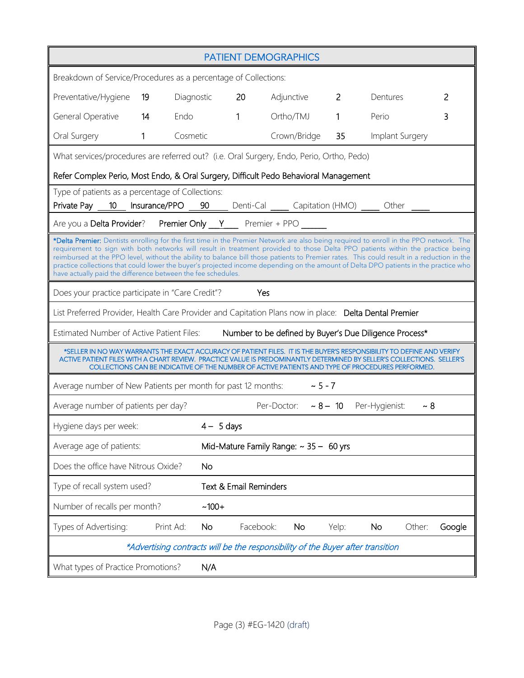| <b>PATIENT DEMOGRAPHICS</b>                                                                                                                                                                                                                                                                                                                                                                                                                                                                                                                                                                                                   |           |               |              |              |  |                |                 |        |        |
|-------------------------------------------------------------------------------------------------------------------------------------------------------------------------------------------------------------------------------------------------------------------------------------------------------------------------------------------------------------------------------------------------------------------------------------------------------------------------------------------------------------------------------------------------------------------------------------------------------------------------------|-----------|---------------|--------------|--------------|--|----------------|-----------------|--------|--------|
| Breakdown of Service/Procedures as a percentage of Collections:                                                                                                                                                                                                                                                                                                                                                                                                                                                                                                                                                               |           |               |              |              |  |                |                 |        |        |
| Preventative/Hygiene                                                                                                                                                                                                                                                                                                                                                                                                                                                                                                                                                                                                          | 19        | Diagnostic 20 |              | Adjunctive   |  | $\overline{2}$ | Dentures        |        | 2      |
| General Operative 14                                                                                                                                                                                                                                                                                                                                                                                                                                                                                                                                                                                                          | Endo      |               | $\mathbf{1}$ | Ortho/TMJ    |  | $\mathbf{1}$   | Perio           |        | 3      |
| Oral Surgery<br>$\mathbf{1}$                                                                                                                                                                                                                                                                                                                                                                                                                                                                                                                                                                                                  |           | Cosmetic      |              | Crown/Bridge |  | 35             | Implant Surgery |        |        |
| What services/procedures are referred out? (i.e. Oral Surgery, Endo, Perio, Ortho, Pedo)                                                                                                                                                                                                                                                                                                                                                                                                                                                                                                                                      |           |               |              |              |  |                |                 |        |        |
| Refer Complex Perio, Most Endo, & Oral Surgery, Difficult Pedo Behavioral Management                                                                                                                                                                                                                                                                                                                                                                                                                                                                                                                                          |           |               |              |              |  |                |                 |        |        |
| Type of patients as a percentage of Collections:<br>Private Pay 10 Insurance/PPO 90 Denti-Cal Capitation (HMO) 0 Other 2014                                                                                                                                                                                                                                                                                                                                                                                                                                                                                                   |           |               |              |              |  |                |                 |        |        |
| Are you a Delta Provider? Premier Only Y Premier + PPO ______                                                                                                                                                                                                                                                                                                                                                                                                                                                                                                                                                                 |           |               |              |              |  |                |                 |        |        |
| *Delta Premier: Dentists enrolling for the first time in the Premier Network are also being required to enroll in the PPO network. The<br>requirement to sign with both networks will result in treatment provided to those Delta PPO patients within the practice being<br>reimbursed at the PPO level, without the ability to balance bill those patients to Premier rates. This could result in a reduction in the<br>practice collections that could lower the buyer's projected income depending on the amount of Delta DPO patients in the practice who<br>have actually paid the difference between the fee schedules. |           |               |              |              |  |                |                 |        |        |
| Does your practice participate in "Care Credit"?<br>Yes                                                                                                                                                                                                                                                                                                                                                                                                                                                                                                                                                                       |           |               |              |              |  |                |                 |        |        |
| List Preferred Provider, Health Care Provider and Capitation Plans now in place: Delta Dental Premier                                                                                                                                                                                                                                                                                                                                                                                                                                                                                                                         |           |               |              |              |  |                |                 |        |        |
| Estimated Number of Active Patient Files: Number to be defined by Buyer's Due Diligence Process*                                                                                                                                                                                                                                                                                                                                                                                                                                                                                                                              |           |               |              |              |  |                |                 |        |        |
| *SELLER IN NO WAY WARRANTS THE EXACT ACCURACY OF PATIENT FILES. IT IS THE BUYER'S RESPONSIBILITY TO DEFINE AND VERIFY<br>ACTIVE PATIENT FILES WITH A CHART REVIEW.  PRACTICE VALUE IS PREDOMINANTLY DETERMINED BY SELLER'S COLLECTIONS.  SELLER'S<br>COLLECTIONS CAN BE INDICATIVE OF THE NUMBER OF ACTIVE PATIENTS AND TYPE OF PROCEDURES PERFORMED.                                                                                                                                                                                                                                                                         |           |               |              |              |  |                |                 |        |        |
| Average number of New Patients per month for past 12 months: $\sim$ 5 - 7                                                                                                                                                                                                                                                                                                                                                                                                                                                                                                                                                     |           |               |              |              |  |                |                 |        |        |
| Per-Doctor: $\sim 8 - 10$ Per-Hygienist:<br>$~\sim 8$<br>Average number of patients per day?                                                                                                                                                                                                                                                                                                                                                                                                                                                                                                                                  |           |               |              |              |  |                |                 |        |        |
| Hygiene days per week:                                                                                                                                                                                                                                                                                                                                                                                                                                                                                                                                                                                                        |           | $4 - 5$ days  |              |              |  |                |                 |        |        |
| Average age of patients:<br>Mid-Mature Family Range: $\sim$ 35 - 60 yrs                                                                                                                                                                                                                                                                                                                                                                                                                                                                                                                                                       |           |               |              |              |  |                |                 |        |        |
| Does the office have Nitrous Oxide?                                                                                                                                                                                                                                                                                                                                                                                                                                                                                                                                                                                           |           | <b>No</b>     |              |              |  |                |                 |        |        |
| Type of recall system used?<br>Text & Email Reminders                                                                                                                                                                                                                                                                                                                                                                                                                                                                                                                                                                         |           |               |              |              |  |                |                 |        |        |
| Number of recalls per month?<br>$~100+$                                                                                                                                                                                                                                                                                                                                                                                                                                                                                                                                                                                       |           |               |              |              |  |                |                 |        |        |
| Types of Advertising:                                                                                                                                                                                                                                                                                                                                                                                                                                                                                                                                                                                                         | Print Ad: | <b>No</b>     | Facebook:    | <b>No</b>    |  | Yelp:          | <b>No</b>       | Other: | Google |
| *Advertising contracts will be the responsibility of the Buyer after transition                                                                                                                                                                                                                                                                                                                                                                                                                                                                                                                                               |           |               |              |              |  |                |                 |        |        |
| What types of Practice Promotions?<br>N/A                                                                                                                                                                                                                                                                                                                                                                                                                                                                                                                                                                                     |           |               |              |              |  |                |                 |        |        |